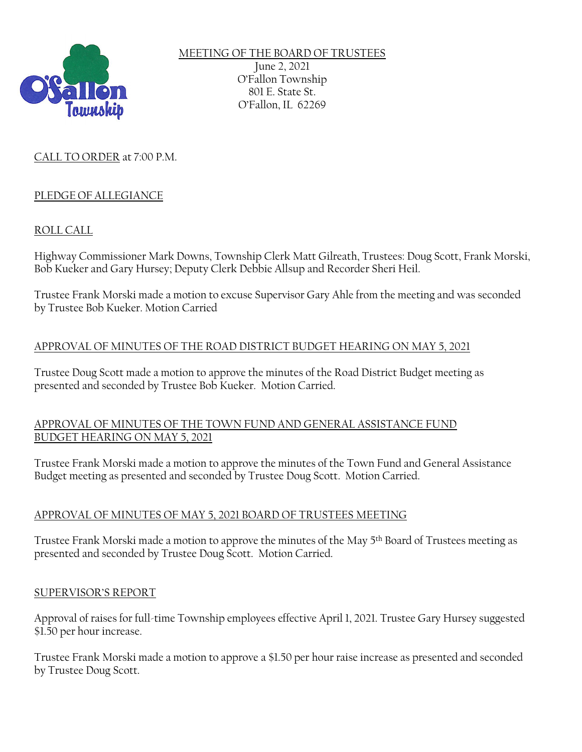

MEETING OF THE BOARD OF TRUSTEES June 2, 2021 O'Fallon Township 801 E. State St. O'Fallon, IL 62269

## CALL TO ORDER at 7:00 P.M.

### PLEDGE OF ALLEGIANCE

### ROLL CALL

Highway Commissioner Mark Downs, Township Clerk Matt Gilreath, Trustees: Doug Scott, Frank Morski, Bob Kueker and Gary Hursey; Deputy Clerk Debbie Allsup and Recorder Sheri Heil.

Trustee Frank Morski made a motion to excuse Supervisor Gary Ahle from the meeting and was seconded by Trustee Bob Kueker. Motion Carried

#### APPROVAL OF MINUTES OF THE ROAD DISTRICT BUDGET HEARING ON MAY 5, 2021

Trustee Doug Scott made a motion to approve the minutes of the Road District Budget meeting as presented and seconded by Trustee Bob Kueker. Motion Carried.

#### APPROVAL OF MINUTES OF THE TOWN FUND AND GENERAL ASSISTANCE FUND BUDGET HEARING ON MAY 5, 2021

Trustee Frank Morski made a motion to approve the minutes of the Town Fund and General Assistance Budget meeting as presented and seconded by Trustee Doug Scott. Motion Carried.

#### APPROVAL OF MINUTES OF MAY 5, 2021 BOARD OF TRUSTEES MEETING

Trustee Frank Morski made a motion to approve the minutes of the May 5th Board of Trustees meeting as presented and seconded by Trustee Doug Scott. Motion Carried.

#### SUPERVISOR'S REPORT

Approval of raises for full-time Township employees effective April 1, 2021. Trustee Gary Hursey suggested \$1.50 per hour increase.

Trustee Frank Morski made a motion to approve a \$1.50 per hour raise increase as presented and seconded by Trustee Doug Scott.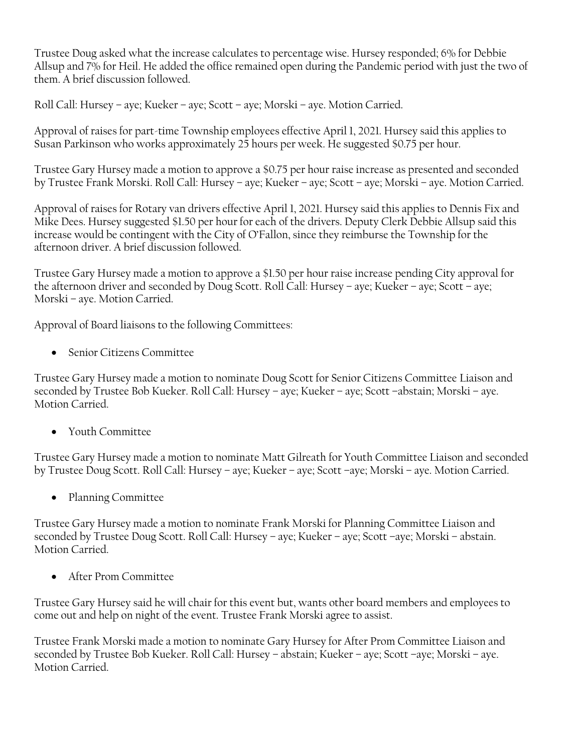Trustee Doug asked what the increase calculates to percentage wise. Hursey responded; 6% for Debbie Allsup and 7% for Heil. He added the office remained open during the Pandemic period with just the two of them. A brief discussion followed.

Roll Call: Hursey – aye; Kueker – aye; Scott – aye; Morski – aye. Motion Carried.

Approval of raises for part-time Township employees effective April 1, 2021. Hursey said this applies to Susan Parkinson who works approximately 25 hours per week. He suggested \$0.75 per hour.

Trustee Gary Hursey made a motion to approve a \$0.75 per hour raise increase as presented and seconded by Trustee Frank Morski. Roll Call: Hursey – aye; Kueker – aye; Scott – aye; Morski – aye. Motion Carried.

Approval of raises for Rotary van drivers effective April 1, 2021. Hursey said this applies to Dennis Fix and Mike Dees. Hursey suggested \$1.50 per hour for each of the drivers. Deputy Clerk Debbie Allsup said this increase would be contingent with the City of O'Fallon, since they reimburse the Township for the afternoon driver. A brief discussion followed.

Trustee Gary Hursey made a motion to approve a \$1.50 per hour raise increase pending City approval for the afternoon driver and seconded by Doug Scott. Roll Call: Hursey – aye; Kueker – aye; Scott – aye; Morski – aye. Motion Carried.

Approval of Board liaisons to the following Committees:

• Senior Citizens Committee

Trustee Gary Hursey made a motion to nominate Doug Scott for Senior Citizens Committee Liaison and seconded by Trustee Bob Kueker. Roll Call: Hursey – aye; Kueker – aye; Scott –abstain; Morski – aye. Motion Carried.

• Youth Committee

Trustee Gary Hursey made a motion to nominate Matt Gilreath for Youth Committee Liaison and seconded by Trustee Doug Scott. Roll Call: Hursey – aye; Kueker – aye; Scott –aye; Morski – aye. Motion Carried.

• Planning Committee

Trustee Gary Hursey made a motion to nominate Frank Morski for Planning Committee Liaison and seconded by Trustee Doug Scott. Roll Call: Hursey – aye; Kueker – aye; Scott –aye; Morski – abstain. Motion Carried.

• After Prom Committee

Trustee Gary Hursey said he will chair for this event but, wants other board members and employees to come out and help on night of the event. Trustee Frank Morski agree to assist.

Trustee Frank Morski made a motion to nominate Gary Hursey for After Prom Committee Liaison and seconded by Trustee Bob Kueker. Roll Call: Hursey – abstain; Kueker – aye; Scott –aye; Morski – aye. Motion Carried.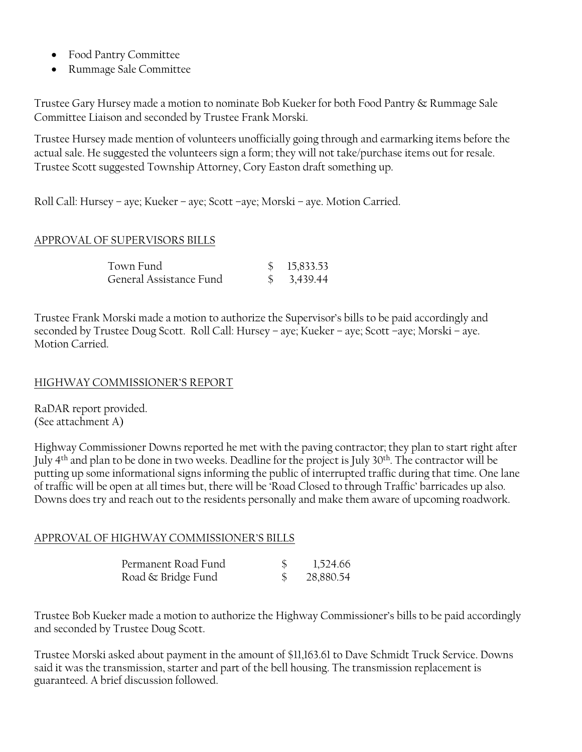- Food Pantry Committee
- Rummage Sale Committee

Trustee Gary Hursey made a motion to nominate Bob Kueker for both Food Pantry & Rummage Sale Committee Liaison and seconded by Trustee Frank Morski.

Trustee Hursey made mention of volunteers unofficially going through and earmarking items before the actual sale. He suggested the volunteers sign a form; they will not take/purchase items out for resale. Trustee Scott suggested Township Attorney, Cory Easton draft something up.

Roll Call: Hursey – aye; Kueker – aye; Scott –aye; Morski – aye. Motion Carried.

#### APPROVAL OF SUPERVISORS BILLS

| Town Fund               | \$15,833.53            |
|-------------------------|------------------------|
| General Assistance Fund | $\frac{1}{2}$ 3,439.44 |

Trustee Frank Morski made a motion to authorize the Supervisor's bills to be paid accordingly and seconded by Trustee Doug Scott. Roll Call: Hursey – aye; Kueker – aye; Scott –aye; Morski – aye. Motion Carried.

#### HIGHWAY COMMISSIONER'S REPORT

RaDAR report provided. (See attachment A)

Highway Commissioner Downs reported he met with the paving contractor; they plan to start right after July 4th and plan to be done in two weeks. Deadline for the project is July 30th. The contractor will be putting up some informational signs informing the public of interrupted traffic during that time. One lane of traffic will be open at all times but, there will be 'Road Closed to through Traffic' barricades up also. Downs does try and reach out to the residents personally and make them aware of upcoming roadwork.

#### APPROVAL OF HIGHWAY COMMISSIONER'S BILLS

| Permanent Road Fund | 1,524.66  |
|---------------------|-----------|
| Road & Bridge Fund  | 28,880.54 |

Trustee Bob Kueker made a motion to authorize the Highway Commissioner's bills to be paid accordingly and seconded by Trustee Doug Scott.

Trustee Morski asked about payment in the amount of \$11,163.61 to Dave Schmidt Truck Service. Downs said it was the transmission, starter and part of the bell housing. The transmission replacement is guaranteed. A brief discussion followed.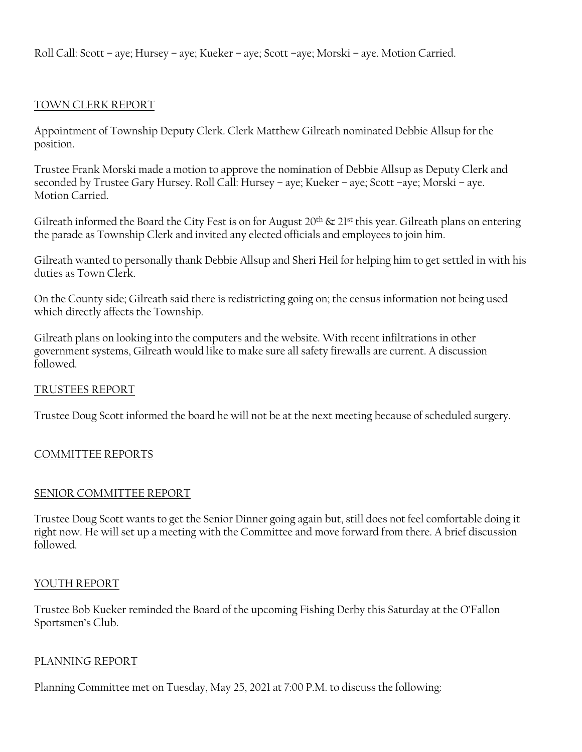Roll Call: Scott – aye; Hursey – aye; Kueker – aye; Scott –aye; Morski – aye. Motion Carried.

### TOWN CLERK REPORT

Appointment of Township Deputy Clerk. Clerk Matthew Gilreath nominated Debbie Allsup for the position.

Trustee Frank Morski made a motion to approve the nomination of Debbie Allsup as Deputy Clerk and seconded by Trustee Gary Hursey. Roll Call: Hursey – aye; Kueker – aye; Scott –aye; Morski – aye. Motion Carried.

Gilreath informed the Board the City Fest is on for August  $20<sup>th</sup>$  &  $21<sup>st</sup>$  this year. Gilreath plans on entering the parade as Township Clerk and invited any elected officials and employees to join him.

Gilreath wanted to personally thank Debbie Allsup and Sheri Heil for helping him to get settled in with his duties as Town Clerk.

On the County side; Gilreath said there is redistricting going on; the census information not being used which directly affects the Township.

Gilreath plans on looking into the computers and the website. With recent infiltrations in other government systems, Gilreath would like to make sure all safety firewalls are current. A discussion followed.

#### TRUSTEES REPORT

Trustee Doug Scott informed the board he will not be at the next meeting because of scheduled surgery.

#### COMMITTEE REPORTS

#### SENIOR COMMITTEE REPORT

Trustee Doug Scott wants to get the Senior Dinner going again but, still does not feel comfortable doing it right now. He will set up a meeting with the Committee and move forward from there. A brief discussion followed.

#### YOUTH REPORT

Trustee Bob Kueker reminded the Board of the upcoming Fishing Derby this Saturday at the O'Fallon Sportsmen's Club.

#### PLANNING REPORT

Planning Committee met on Tuesday, May 25, 2021 at 7:00 P.M. to discuss the following: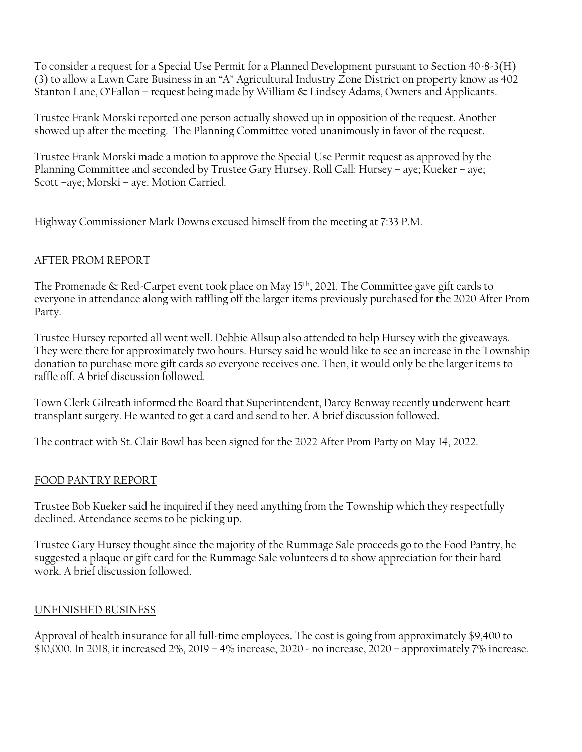To consider a request for a Special Use Permit for a Planned Development pursuant to Section 40-8-3(H) (3) to allow a Lawn Care Business in an "A" Agricultural Industry Zone District on property know as 402 Stanton Lane, O'Fallon – request being made by William & Lindsey Adams, Owners and Applicants.

Trustee Frank Morski reported one person actually showed up in opposition of the request. Another showed up after the meeting. The Planning Committee voted unanimously in favor of the request.

Trustee Frank Morski made a motion to approve the Special Use Permit request as approved by the Planning Committee and seconded by Trustee Gary Hursey. Roll Call: Hursey – aye; Kueker – aye; Scott –aye; Morski – aye. Motion Carried.

Highway Commissioner Mark Downs excused himself from the meeting at 7:33 P.M.

### AFTER PROM REPORT

The Promenade & Red-Carpet event took place on May 15th, 2021. The Committee gave gift cards to everyone in attendance along with raffling off the larger items previously purchased for the 2020 After Prom Party.

Trustee Hursey reported all went well. Debbie Allsup also attended to help Hursey with the giveaways. They were there for approximately two hours. Hursey said he would like to see an increase in the Township donation to purchase more gift cards so everyone receives one. Then, it would only be the larger items to raffle off. A brief discussion followed.

Town Clerk Gilreath informed the Board that Superintendent, Darcy Benway recently underwent heart transplant surgery. He wanted to get a card and send to her. A brief discussion followed.

The contract with St. Clair Bowl has been signed for the 2022 After Prom Party on May 14, 2022.

## FOOD PANTRY REPORT

Trustee Bob Kueker said he inquired if they need anything from the Township which they respectfully declined. Attendance seems to be picking up.

Trustee Gary Hursey thought since the majority of the Rummage Sale proceeds go to the Food Pantry, he suggested a plaque or gift card for the Rummage Sale volunteers d to show appreciation for their hard work. A brief discussion followed.

#### UNFINISHED BUSINESS

Approval of health insurance for all full-time employees. The cost is going from approximately \$9,400 to \$10,000. In 2018, it increased 2%, 2019 – 4% increase, 2020 - no increase, 2020 – approximately 7% increase.